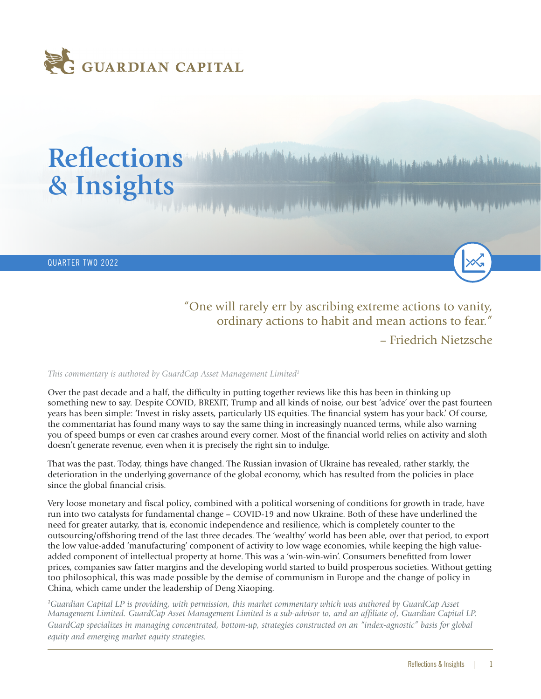

# Reflections *Manufacture Manufacture Address of the Address of the Address of the Address of the Address* **of the Address of the Address of the Address of the Address of the Address of the Address of the Address of the Add & Insights**

QUARTER TWO 2022

"One will rarely err by ascribing extreme actions to vanity, ordinary actions to habit and mean actions to fear."

– Friedrich Nietzsche

#### *This commentary is authored by GuardCap Asset Management Limited<sup>1</sup>*

Over the past decade and a half, the difficulty in putting together reviews like this has been in thinking up something new to say. Despite COVID, BREXIT, Trump and all kinds of noise, our best 'advice' over the past fourteen years has been simple: 'Invest in risky assets, particularly US equities. The financial system has your back.' Of course, the commentariat has found many ways to say the same thing in increasingly nuanced terms, while also warning you of speed bumps or even car crashes around every corner. Most of the financial world relies on activity and sloth doesn't generate revenue, even when it is precisely the right sin to indulge.

That was the past. Today, things have changed. The Russian invasion of Ukraine has revealed, rather starkly, the deterioration in the underlying governance of the global economy, which has resulted from the policies in place since the global financial crisis.

Very loose monetary and fiscal policy, combined with a political worsening of conditions for growth in trade, have run into two catalysts for fundamental change – COVID-19 and now Ukraine. Both of these have underlined the need for greater autarky, that is, economic independence and resilience, which is completely counter to the outsourcing/offshoring trend of the last three decades. The 'wealthy' world has been able, over that period, to export the low value-added 'manufacturing' component of activity to low wage economies, while keeping the high valueadded component of intellectual property at home. This was a 'win-win-win'. Consumers benefitted from lower prices, companies saw fatter margins and the developing world started to build prosperous societies. Without getting too philosophical, this was made possible by the demise of communism in Europe and the change of policy in China, which came under the leadership of Deng Xiaoping.

*<sup>1</sup>Guardian Capital LP is providing, with permission, this market commentary which was authored by GuardCap Asset Management Limited. GuardCap Asset Management Limited is a sub-advisor to, and an affiliate of, Guardian Capital LP. GuardCap specializes in managing concentrated, bottom-up, strategies constructed on an "index-agnostic" basis for global equity and emerging market equity strategies.*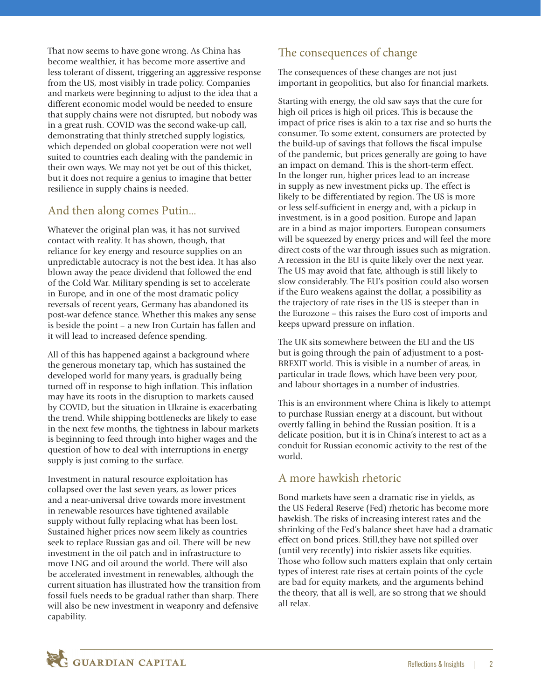That now seems to have gone wrong. As China has become wealthier, it has become more assertive and less tolerant of dissent, triggering an aggressive response from the US, most visibly in trade policy. Companies and markets were beginning to adjust to the idea that a different economic model would be needed to ensure that supply chains were not disrupted, but nobody was in a great rush. COVID was the second wake-up call, demonstrating that thinly stretched supply logistics, which depended on global cooperation were not well suited to countries each dealing with the pandemic in their own ways. We may not yet be out of this thicket, but it does not require a genius to imagine that better resilience in supply chains is needed.

## And then along comes Putin...

Whatever the original plan was, it has not survived contact with reality. It has shown, though, that reliance for key energy and resource supplies on an unpredictable autocracy is not the best idea. It has also blown away the peace dividend that followed the end of the Cold War. Military spending is set to accelerate in Europe, and in one of the most dramatic policy reversals of recent years, Germany has abandoned its post-war defence stance. Whether this makes any sense is beside the point – a new Iron Curtain has fallen and it will lead to increased defence spending.

All of this has happened against a background where the generous monetary tap, which has sustained the developed world for many years, is gradually being turned off in response to high inflation. This inflation may have its roots in the disruption to markets caused by COVID, but the situation in Ukraine is exacerbating the trend. While shipping bottlenecks are likely to ease in the next few months, the tightness in labour markets is beginning to feed through into higher wages and the question of how to deal with interruptions in energy supply is just coming to the surface.

Investment in natural resource exploitation has collapsed over the last seven years, as lower prices and a near-universal drive towards more investment in renewable resources have tightened available supply without fully replacing what has been lost. Sustained higher prices now seem likely as countries seek to replace Russian gas and oil. There will be new investment in the oil patch and in infrastructure to move LNG and oil around the world. There will also be accelerated investment in renewables, although the current situation has illustrated how the transition from fossil fuels needs to be gradual rather than sharp. There will also be new investment in weaponry and defensive capability.

# The consequences of change

The consequences of these changes are not just important in geopolitics, but also for financial markets.

Starting with energy, the old saw says that the cure for high oil prices is high oil prices. This is because the impact of price rises is akin to a tax rise and so hurts the consumer. To some extent, consumers are protected by the build-up of savings that follows the fiscal impulse of the pandemic, but prices generally are going to have an impact on demand. This is the short-term effect. In the longer run, higher prices lead to an increase in supply as new investment picks up. The effect is likely to be differentiated by region. The US is more or less self-sufficient in energy and, with a pickup in investment, is in a good position. Europe and Japan are in a bind as major importers. European consumers will be squeezed by energy prices and will feel the more direct costs of the war through issues such as migration. A recession in the EU is quite likely over the next year. The US may avoid that fate, although is still likely to slow considerably. The EU's position could also worsen if the Euro weakens against the dollar, a possibility as the trajectory of rate rises in the US is steeper than in the Eurozone – this raises the Euro cost of imports and keeps upward pressure on inflation.

The UK sits somewhere between the EU and the US but is going through the pain of adjustment to a post-BREXIT world. This is visible in a number of areas, in particular in trade flows, which have been very poor, and labour shortages in a number of industries.

This is an environment where China is likely to attempt to purchase Russian energy at a discount, but without overtly falling in behind the Russian position. It is a delicate position, but it is in China's interest to act as a conduit for Russian economic activity to the rest of the world.

### A more hawkish rhetoric

Bond markets have seen a dramatic rise in yields, as the US Federal Reserve (Fed) rhetoric has become more hawkish. The risks of increasing interest rates and the shrinking of the Fed's balance sheet have had a dramatic effect on bond prices. Still,they have not spilled over (until very recently) into riskier assets like equities. Those who follow such matters explain that only certain types of interest rate rises at certain points of the cycle are bad for equity markets, and the arguments behind the theory, that all is well, are so strong that we should all relax.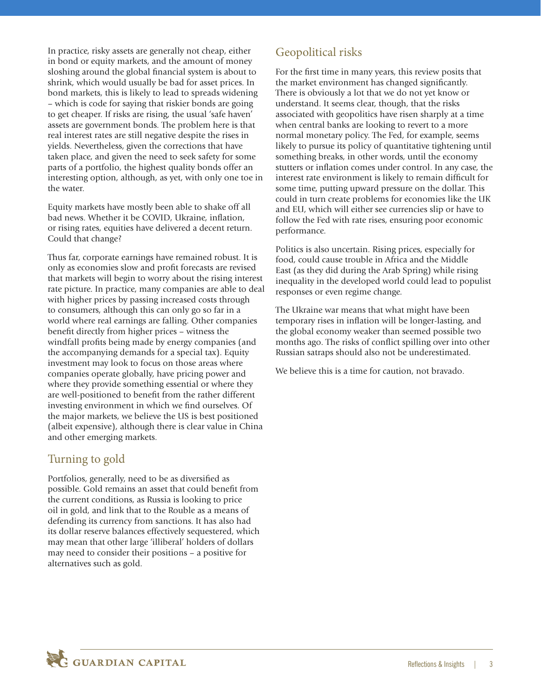In practice, risky assets are generally not cheap, either in bond or equity markets, and the amount of money sloshing around the global financial system is about to shrink, which would usually be bad for asset prices. In bond markets, this is likely to lead to spreads widening – which is code for saying that riskier bonds are going to get cheaper. If risks are rising, the usual 'safe haven' assets are government bonds. The problem here is that real interest rates are still negative despite the rises in yields. Nevertheless, given the corrections that have taken place, and given the need to seek safety for some parts of a portfolio, the highest quality bonds offer an interesting option, although, as yet, with only one toe in the water.

Equity markets have mostly been able to shake off all bad news. Whether it be COVID, Ukraine, inflation, or rising rates, equities have delivered a decent return. Could that change?

Thus far, corporate earnings have remained robust. It is only as economies slow and profit forecasts are revised that markets will begin to worry about the rising interest rate picture. In practice, many companies are able to deal with higher prices by passing increased costs through to consumers, although this can only go so far in a world where real earnings are falling. Other companies benefit directly from higher prices – witness the windfall profits being made by energy companies (and the accompanying demands for a special tax). Equity investment may look to focus on those areas where companies operate globally, have pricing power and where they provide something essential or where they are well-positioned to benefit from the rather different investing environment in which we find ourselves. Of the major markets, we believe the US is best positioned (albeit expensive), although there is clear value in China and other emerging markets.

### Turning to gold

Portfolios, generally, need to be as diversified as possible. Gold remains an asset that could benefit from the current conditions, as Russia is looking to price oil in gold, and link that to the Rouble as a means of defending its currency from sanctions. It has also had its dollar reserve balances effectively sequestered, which may mean that other large 'illiberal' holders of dollars may need to consider their positions – a positive for alternatives such as gold.

# Geopolitical risks

For the first time in many years, this review posits that the market environment has changed significantly. There is obviously a lot that we do not yet know or understand. It seems clear, though, that the risks associated with geopolitics have risen sharply at a time when central banks are looking to revert to a more normal monetary policy. The Fed, for example, seems likely to pursue its policy of quantitative tightening until something breaks, in other words, until the economy stutters or inflation comes under control. In any case, the interest rate environment is likely to remain difficult for some time, putting upward pressure on the dollar. This could in turn create problems for economies like the UK and EU, which will either see currencies slip or have to follow the Fed with rate rises, ensuring poor economic performance.

Politics is also uncertain. Rising prices, especially for food, could cause trouble in Africa and the Middle East (as they did during the Arab Spring) while rising inequality in the developed world could lead to populist responses or even regime change.

The Ukraine war means that what might have been temporary rises in inflation will be longer-lasting, and the global economy weaker than seemed possible two months ago. The risks of conflict spilling over into other Russian satraps should also not be underestimated.

We believe this is a time for caution, not bravado.